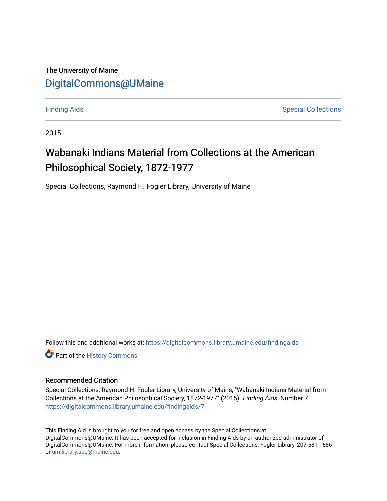# The University of Maine [DigitalCommons@UMaine](https://digitalcommons.library.umaine.edu/)

[Finding Aids](https://digitalcommons.library.umaine.edu/findingaids) **Special Collections** 

2015

# Wabanaki Indians Material from Collections at the American Philosophical Society, 1872-1977

Special Collections, Raymond H. Fogler Library, University of Maine

Follow this and additional works at: [https://digitalcommons.library.umaine.edu/findingaids](https://digitalcommons.library.umaine.edu/findingaids?utm_source=digitalcommons.library.umaine.edu%2Ffindingaids%2F7&utm_medium=PDF&utm_campaign=PDFCoverPages)

Part of the [History Commons](http://network.bepress.com/hgg/discipline/489?utm_source=digitalcommons.library.umaine.edu%2Ffindingaids%2F7&utm_medium=PDF&utm_campaign=PDFCoverPages) 

#### Recommended Citation

Special Collections, Raymond H. Fogler Library, University of Maine, "Wabanaki Indians Material from Collections at the American Philosophical Society, 1872-1977" (2015). Finding Aids. Number 7. [https://digitalcommons.library.umaine.edu/findingaids/7](https://digitalcommons.library.umaine.edu/findingaids/7?utm_source=digitalcommons.library.umaine.edu%2Ffindingaids%2F7&utm_medium=PDF&utm_campaign=PDFCoverPages)

This Finding Aid is brought to you for free and open access by the Special Collections at DigitalCommons@UMaine. It has been accepted for inclusion in Finding Aids by an authorized administrator of DigitalCommons@UMaine. For more information, please contact Special Collections, Fogler Library, 207-581-1686 or [um.library.spc@maine.edu](mailto:um.library.spc@maine.edu).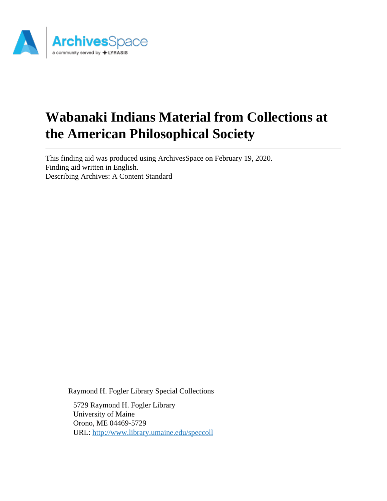

# **Wabanaki Indians Material from Collections at the American Philosophical Society**

This finding aid was produced using ArchivesSpace on February 19, 2020. Finding aid written in English. Describing Archives: A Content Standard

Raymond H. Fogler Library Special Collections

5729 Raymond H. Fogler Library University of Maine Orono, ME 04469-5729 URL:<http://www.library.umaine.edu/speccoll>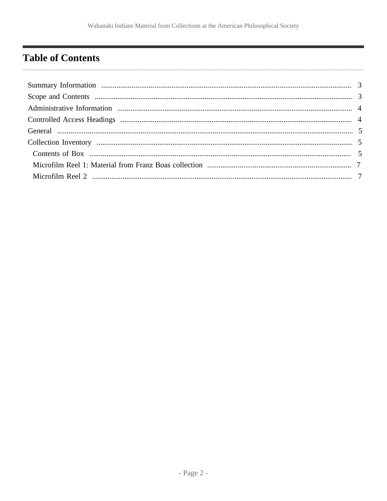# <span id="page-2-0"></span>**Table of Contents**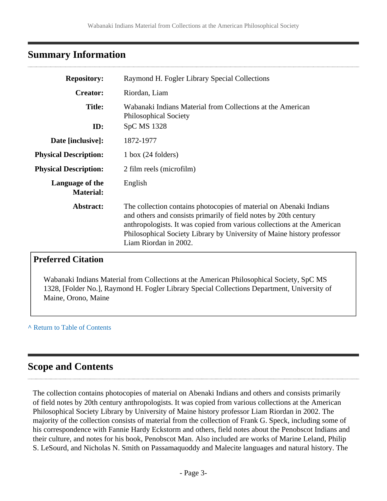# <span id="page-3-0"></span>**Summary Information**

| <b>Repository:</b>                  | Raymond H. Fogler Library Special Collections                                                                                                                                                                                                                                                                        |
|-------------------------------------|----------------------------------------------------------------------------------------------------------------------------------------------------------------------------------------------------------------------------------------------------------------------------------------------------------------------|
| <b>Creator:</b>                     | Riordan, Liam                                                                                                                                                                                                                                                                                                        |
| <b>Title:</b><br>ID:                | Wabanaki Indians Material from Collections at the American<br><b>Philosophical Society</b><br>SpC MS 1328                                                                                                                                                                                                            |
|                                     |                                                                                                                                                                                                                                                                                                                      |
| Date [inclusive]:                   | 1872-1977                                                                                                                                                                                                                                                                                                            |
| <b>Physical Description:</b>        | $1$ box $(24$ folders)                                                                                                                                                                                                                                                                                               |
| <b>Physical Description:</b>        | 2 film reels (microfilm)                                                                                                                                                                                                                                                                                             |
| Language of the<br><b>Material:</b> | English                                                                                                                                                                                                                                                                                                              |
| Abstract:                           | The collection contains photocopies of material on Abenaki Indians<br>and others and consists primarily of field notes by 20th century<br>anthropologists. It was copied from various collections at the American<br>Philosophical Society Library by University of Maine history professor<br>Liam Riordan in 2002. |
|                                     |                                                                                                                                                                                                                                                                                                                      |

# **Preferred Citation**

Wabanaki Indians Material from Collections at the American Philosophical Society, SpC MS 1328, [Folder No.], Raymond H. Fogler Library Special Collections Department, University of Maine, Orono, Maine

**^** [Return to Table of Contents](#page-2-0)

# <span id="page-3-1"></span>**Scope and Contents**

The collection contains photocopies of material on Abenaki Indians and others and consists primarily of field notes by 20th century anthropologists. It was copied from various collections at the American Philosophical Society Library by University of Maine history professor Liam Riordan in 2002. The majority of the collection consists of material from the collection of Frank G. Speck, including some of his correspondence with Fannie Hardy Eckstorm and others, field notes about the Penobscot Indians and their culture, and notes for his book, Penobscot Man. Also included are works of Marine Leland, Philip S. LeSourd, and Nicholas N. Smith on Passamaquoddy and Malecite languages and natural history. The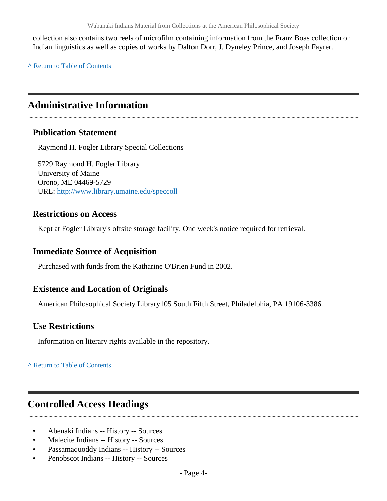collection also contains two reels of microfilm containing information from the Franz Boas collection on Indian linguistics as well as copies of works by Dalton Dorr, J. Dyneley Prince, and Joseph Fayrer.

**^** [Return to Table of Contents](#page-2-0)

# <span id="page-4-0"></span>**Administrative Information**

### **Publication Statement**

Raymond H. Fogler Library Special Collections

5729 Raymond H. Fogler Library University of Maine Orono, ME 04469-5729 URL:<http://www.library.umaine.edu/speccoll>

### **Restrictions on Access**

Kept at Fogler Library's offsite storage facility. One week's notice required for retrieval.

#### **Immediate Source of Acquisition**

Purchased with funds from the Katharine O'Brien Fund in 2002.

### **Existence and Location of Originals**

American Philosophical Society Library105 South Fifth Street, Philadelphia, PA 19106-3386.

### **Use Restrictions**

Information on literary rights available in the repository.

**^** [Return to Table of Contents](#page-2-0)

# <span id="page-4-1"></span>**Controlled Access Headings**

- Abenaki Indians -- History -- Sources
- Malecite Indians -- History -- Sources
- Passamaquoddy Indians -- History -- Sources
- Penobscot Indians -- History -- Sources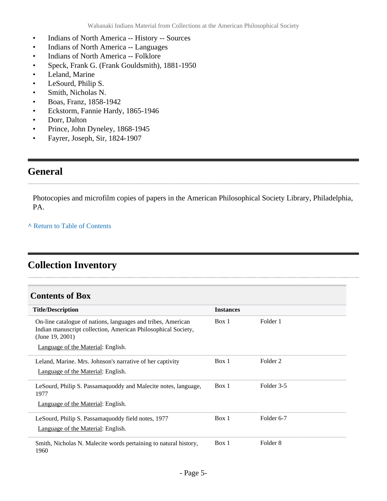- Indians of North America -- History -- Sources
- Indians of North America -- Languages
- Indians of North America -- Folklore
- Speck, Frank G. (Frank Gouldsmith), 1881-1950
- Leland, Marine
- LeSourd, Philip S.
- Smith, Nicholas N.
- Boas, Franz, 1858-1942
- Eckstorm, Fannie Hardy, 1865-1946
- Dorr, Dalton
- Prince, John Dyneley, 1868-1945
- Fayrer, Joseph, Sir, 1824-1907

## <span id="page-5-0"></span>**General**

Photocopies and microfilm copies of papers in the American Philosophical Society Library, Philadelphia, PA.

**^** [Return to Table of Contents](#page-2-0)

# <span id="page-5-1"></span>**Collection Inventory**

#### <span id="page-5-2"></span>**Contents of Box**

| <b>Title/Description</b>                                                                                                                         | <b>Instances</b> |                     |
|--------------------------------------------------------------------------------------------------------------------------------------------------|------------------|---------------------|
| On-line catalogue of nations, languages and tribes, American<br>Indian manuscript collection, American Philosophical Society,<br>(June 19, 2001) | Box 1            | Folder 1            |
| Language of the Material: English.                                                                                                               |                  |                     |
| Leland, Marine. Mrs. Johnson's narrative of her captivity<br>Language of the Material: English.                                                  | Box 1            | Folder 2            |
|                                                                                                                                                  |                  |                     |
| LeSourd, Philip S. Passamaquoddy and Malecite notes, language,<br>1977                                                                           | Box 1            | Folder 3-5          |
| Language of the Material: English.                                                                                                               |                  |                     |
| LeSourd, Philip S. Passamaguoddy field notes, 1977                                                                                               | Box 1            | Folder 6-7          |
| Language of the Material: English.                                                                                                               |                  |                     |
| Smith, Nicholas N. Malecite words pertaining to natural history,<br>1960                                                                         | Box 1            | Folder <sub>8</sub> |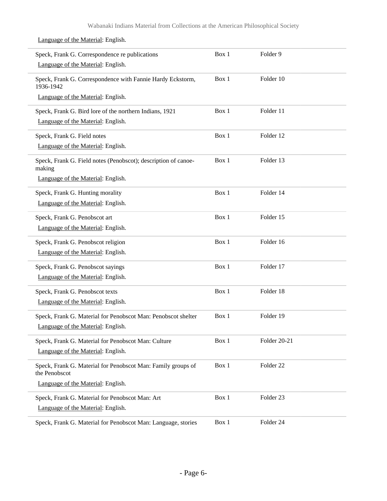| Speck, Frank G. Correspondence re publications<br>Language of the Material: English. | Box 1 | Folder 9     |  |
|--------------------------------------------------------------------------------------|-------|--------------|--|
| Speck, Frank G. Correspondence with Fannie Hardy Eckstorm,<br>1936-1942              | Box 1 | Folder 10    |  |
| Language of the Material: English.                                                   |       |              |  |
| Speck, Frank G. Bird lore of the northern Indians, 1921                              | Box 1 | Folder 11    |  |
| Language of the Material: English.                                                   |       |              |  |
| Speck, Frank G. Field notes                                                          | Box 1 | Folder 12    |  |
| Language of the Material: English.                                                   |       |              |  |
| Speck, Frank G. Field notes (Penobscot); description of canoe-<br>making             | Box 1 | Folder 13    |  |
| Language of the Material: English.                                                   |       |              |  |
| Speck, Frank G. Hunting morality                                                     | Box 1 | Folder 14    |  |
| Language of the Material: English.                                                   |       |              |  |
| Speck, Frank G. Penobscot art                                                        | Box 1 | Folder 15    |  |
| Language of the Material: English.                                                   |       |              |  |
| Speck, Frank G. Penobscot religion                                                   | Box 1 | Folder 16    |  |
| Language of the Material: English.                                                   |       |              |  |
| Speck, Frank G. Penobscot sayings                                                    | Box 1 | Folder 17    |  |
| Language of the Material: English.                                                   |       |              |  |
| Speck, Frank G. Penobscot texts                                                      | Box 1 | Folder 18    |  |
| Language of the Material: English.                                                   |       |              |  |
| Speck, Frank G. Material for Penobscot Man: Penobscot shelter                        | Box 1 | Folder 19    |  |
| Language of the Material: English.                                                   |       |              |  |
| Speck, Frank G. Material for Penobscot Man: Culture                                  | Box 1 | Folder 20-21 |  |
| Language of the Material: English.                                                   |       |              |  |
| Speck, Frank G. Material for Penobscot Man: Family groups of<br>the Penobscot        | Box 1 | Folder 22    |  |
| Language of the Material: English.                                                   |       |              |  |
| Speck, Frank G. Material for Penobscot Man: Art                                      | Box 1 | Folder 23    |  |
| Language of the Material: English.                                                   |       |              |  |
| Speck, Frank G. Material for Penobscot Man: Language, stories                        | Box 1 | Folder 24    |  |

### Language of the Material: English.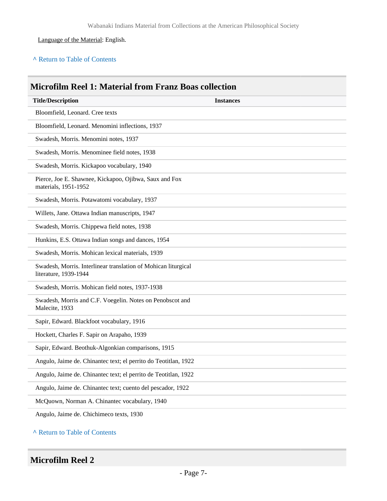#### Language of the Material: English.

#### **^** [Return to Table of Contents](#page-2-0)

### <span id="page-7-0"></span>**Microfilm Reel 1: Material from Franz Boas collection**

| <b>Title/Description</b>                                                                | <b>Instances</b> |
|-----------------------------------------------------------------------------------------|------------------|
| Bloomfield, Leonard. Cree texts                                                         |                  |
| Bloomfield, Leonard. Menomini inflections, 1937                                         |                  |
| Swadesh, Morris. Menomini notes, 1937                                                   |                  |
| Swadesh, Morris. Menominee field notes, 1938                                            |                  |
| Swadesh, Morris. Kickapoo vocabulary, 1940                                              |                  |
| Pierce, Joe E. Shawnee, Kickapoo, Ojibwa, Saux and Fox<br>materials, 1951-1952          |                  |
| Swadesh, Morris. Potawatomi vocabulary, 1937                                            |                  |
| Willets, Jane. Ottawa Indian manuscripts, 1947                                          |                  |
| Swadesh, Morris. Chippewa field notes, 1938                                             |                  |
| Hunkins, E.S. Ottawa Indian songs and dances, 1954                                      |                  |
| Swadesh, Morris. Mohican lexical materials, 1939                                        |                  |
| Swadesh, Morris. Interlinear translation of Mohican liturgical<br>literature, 1939-1944 |                  |
| Swadesh, Morris. Mohican field notes, 1937-1938                                         |                  |
| Swadesh, Morris and C.F. Voegelin. Notes on Penobscot and<br>Malecite, 1933             |                  |
| Sapir, Edward. Blackfoot vocabulary, 1916                                               |                  |
| Hockett, Charles F. Sapir on Arapaho, 1939                                              |                  |
| Sapir, Edward. Beothuk-Algonkian comparisons, 1915                                      |                  |
| Angulo, Jaime de. Chinantec text; el perrito do Teotitlan, 1922                         |                  |
| Angulo, Jaime de. Chinantec text; el perrito de Teotitlan, 1922                         |                  |
| Angulo, Jaime de. Chinantec text; cuento del pescador, 1922                             |                  |
| McQuown, Norman A. Chinantec vocabulary, 1940                                           |                  |
| Angulo, Jaime de. Chichimeco texts, 1930                                                |                  |

#### **^** [Return to Table of Contents](#page-2-0)

### <span id="page-7-1"></span>**Microfilm Reel 2**